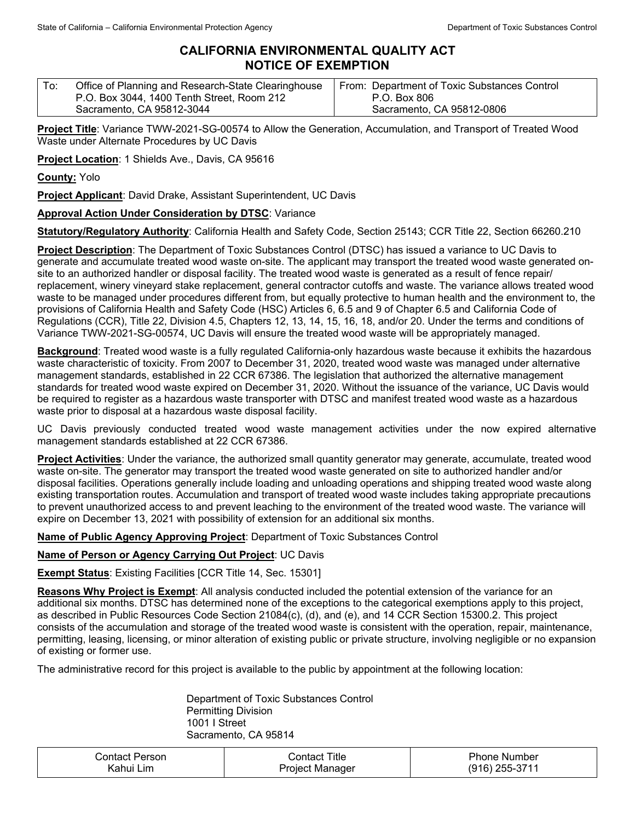## **CALIFORNIA ENVIRONMENTAL QUALITY ACT NOTICE OF EXEMPTION**

| Office of Planning and Research-State Clearinghouse | From: Department of Toxic Substances Control |
|-----------------------------------------------------|----------------------------------------------|
| P.O. Box 3044, 1400 Tenth Street, Room 212          | P.O. Box 806                                 |
| Sacramento, CA 95812-3044                           | Sacramento, CA 95812-0806                    |

**Project Title**: Variance TWW-2021-SG-00574 to Allow the Generation, Accumulation, and Transport of Treated Wood Waste under Alternate Procedures by UC Davis

**Project Location**: 1 Shields Ave., Davis, CA 95616

**County:** Yolo

**Project Applicant**: David Drake, Assistant Superintendent, UC Davis

## **Approval Action Under Consideration by DTSC**: Variance

**Statutory/Regulatory Authority**: California Health and Safety Code, Section 25143; CCR Title 22, Section 66260.210

**Project Description**: The Department of Toxic Substances Control (DTSC) has issued a variance to UC Davis to generate and accumulate treated wood waste on-site. The applicant may transport the treated wood waste generated onsite to an authorized handler or disposal facility. The treated wood waste is generated as a result of fence repair/ replacement, winery vineyard stake replacement, general contractor cutoffs and waste. The variance allows treated wood waste to be managed under procedures different from, but equally protective to human health and the environment to, the provisions of California Health and Safety Code (HSC) Articles 6, 6.5 and 9 of Chapter 6.5 and California Code of Regulations (CCR), Title 22, Division 4.5, Chapters 12, 13, 14, 15, 16, 18, and/or 20. Under the terms and conditions of Variance TWW-2021-SG-00574, UC Davis will ensure the treated wood waste will be appropriately managed.

**Background**: Treated wood waste is a fully regulated California-only hazardous waste because it exhibits the hazardous waste characteristic of toxicity. From 2007 to December 31, 2020, treated wood waste was managed under alternative management standards, established in 22 CCR 67386. The legislation that authorized the alternative management standards for treated wood waste expired on December 31, 2020. Without the issuance of the variance, UC Davis would be required to register as a hazardous waste transporter with DTSC and manifest treated wood waste as a hazardous waste prior to disposal at a hazardous waste disposal facility.

UC Davis previously conducted treated wood waste management activities under the now expired alternative management standards established at 22 CCR 67386.

**Project Activities**: Under the variance, the authorized small quantity generator may generate, accumulate, treated wood waste on-site. The generator may transport the treated wood waste generated on site to authorized handler and/or disposal facilities. Operations generally include loading and unloading operations and shipping treated wood waste along existing transportation routes. Accumulation and transport of treated wood waste includes taking appropriate precautions to prevent unauthorized access to and prevent leaching to the environment of the treated wood waste. The variance will expire on December 13, 2021 with possibility of extension for an additional six months.

**Name of Public Agency Approving Project**: Department of Toxic Substances Control

## **Name of Person or Agency Carrying Out Project**: UC Davis

**Exempt Status**: Existing Facilities [CCR Title 14, Sec. 15301]

**Reasons Why Project is Exempt**: All analysis conducted included the potential extension of the variance for an additional six months. DTSC has determined none of the exceptions to the categorical exemptions apply to this project, as described in Public Resources Code Section 21084(c), (d), and (e), and 14 CCR Section 15300.2. This project consists of the accumulation and storage of the treated wood waste is consistent with the operation, repair, maintenance, permitting, leasing, licensing, or minor alteration of existing public or private structure, involving negligible or no expansion of existing or former use.

The administrative record for this project is available to the public by appointment at the following location:

Department of Toxic Substances Control Permitting Division 1001 I Street Sacramento, CA 95814

| Contact Person. | ontact Titleٽ   | <b>Phone Number</b> |
|-----------------|-----------------|---------------------|
| Kahui Lim       | Project Manager | $(916)$ 255-3711    |